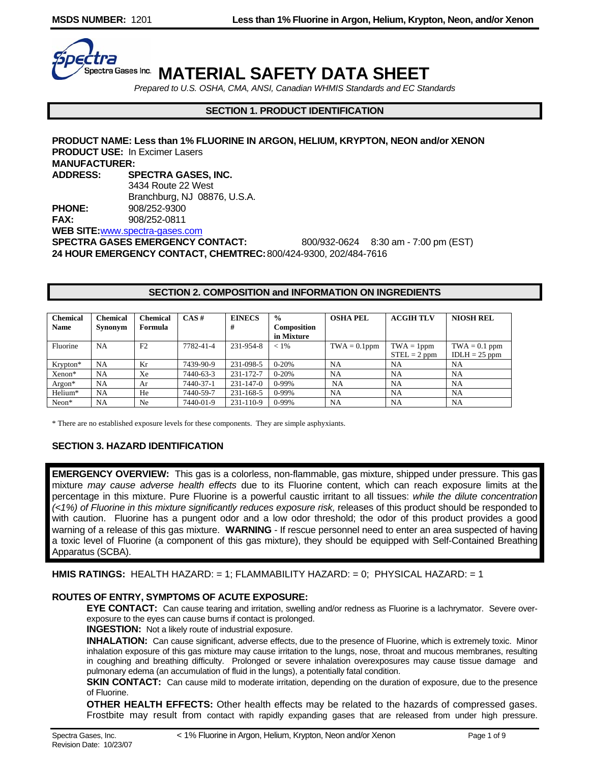

# **Spectra Gases Inc. MATERIAL SAFETY DATA SHEET**

*Prepared to U.S. OSHA, CMA, ANSI, Canadian WHMIS Standards and EC Standards*

# **SECTION 1. PRODUCT IDENTIFICATION**

**PRODUCT NAME: Less than 1% FLUORINE IN ARGON, HELIUM, KRYPTON, NEON and/or XENON PRODUCT USE:** In Excimer Lasers **MANUFACTURER: ADDRESS: SPECTRA GASES, INC.**  3434 Route 22 West Branchburg, NJ 08876, U.S.A. **PHONE:** 908/252-9300 **FAX:** 908/252-0811 WEB SITE: www.spectra-gases.com **SPECTRA GASES EMERGENCY CONTACT:** 800/932-0624 8:30 am - 7:00 pm (EST) **24 HOUR EMERGENCY CONTACT, CHEMTREC:** 800/424-9300, 202/484-7616

#### **SECTION 2. COMPOSITION and INFORMATION ON INGREDIENTS**

| <b>Chemical</b> | <b>Chemical</b> | <b>Chemical</b> | CAS#      | <b>EINECS</b>   | $\frac{0}{0}$      | <b>OSHA PEL</b> | <b>ACGIH TLV</b> | <b>NIOSH REL</b> |
|-----------------|-----------------|-----------------|-----------|-----------------|--------------------|-----------------|------------------|------------------|
| <b>Name</b>     | Synonym         | Formula         |           | #               | <b>Composition</b> |                 |                  |                  |
|                 |                 |                 |           |                 | in Mixture         |                 |                  |                  |
| Fluorine        | <b>NA</b>       | F2              | 7782-41-4 | 231-954-8       | $< 1\%$            | $TWA = 0.1$ ppm | $TWA = 1ppm$     | $TWA = 0.1$ ppm  |
|                 |                 |                 |           |                 |                    |                 | $STEL = 2 ppm$   | $IDLH = 25$ ppm  |
| Krypton*        | <b>NA</b>       | Kr              | 7439-90-9 | 231-098-5       | $0 - 20%$          | NA              | <b>NA</b>        | <b>NA</b>        |
| Xenon*          | <b>NA</b>       | Xe              | 7440-63-3 | 231-172-7       | $0 - 20%$          | <b>NA</b>       | <b>NA</b>        | <b>NA</b>        |
| Argon*          | <b>NA</b>       | Ar              | 7440-37-1 | $231 - 147 - 0$ | $0-99%$            | <b>NA</b>       | <b>NA</b>        | <b>NA</b>        |
| Helium*         | <b>NA</b>       | He              | 7440-59-7 | 231-168-5       | $0-99%$            | <b>NA</b>       | <b>NA</b>        | <b>NA</b>        |
| Neon*           | <b>NA</b>       | Ne              | 7440-01-9 | 231-110-9       | 0-99%              | <b>NA</b>       | NA               | <b>NA</b>        |

\* There are no established exposure levels for these components. They are simple asphyxiants.

# **SECTION 3. HAZARD IDENTIFICATION**

**EMERGENCY OVERVIEW:** This gas is a colorless, non-flammable, gas mixture, shipped under pressure. This gas mixture *may cause adverse health effects* due to its Fluorine content, which can reach exposure limits at the percentage in this mixture. Pure Fluorine is a powerful caustic irritant to all tissues: *while the dilute concentration (<1%) of Fluorine in this mixture significantly reduces exposure risk,* releases of this product should be responded to with caution. Fluorine has a pungent odor and a low odor threshold; the odor of this product provides a good warning of a release of this gas mixture. **WARNING** - If rescue personnel need to enter an area suspected of having a toxic level of Fluorine (a component of this gas mixture), they should be equipped with Self-Contained Breathing Apparatus (SCBA).

**HMIS RATINGS:** HEALTH HAZARD: = 1; FLAMMABILITY HAZARD: = 0; PHYSICAL HAZARD: = 1

#### **ROUTES OF ENTRY, SYMPTOMS OF ACUTE EXPOSURE:**

 **EYE CONTACT:** Can cause tearing and irritation, swelling and/or redness as Fluorine is a lachrymator. Severe overexposure to the eyes can cause burns if contact is prolonged.

#### **INGESTION:** Not a likely route of industrial exposure.

 **INHALATION:** Can cause significant, adverse effects, due to the presence of Fluorine, which is extremely toxic. Minor inhalation exposure of this gas mixture may cause irritation to the lungs, nose, throat and mucous membranes, resulting in coughing and breathing difficulty. Prolonged or severe inhalation overexposures may cause tissue damage and pulmonary edema (an accumulation of fluid in the lungs), a potentially fatal condition.

**SKIN CONTACT:** Can cause mild to moderate irritation, depending on the duration of exposure, due to the presence of Fluorine.

 **OTHER HEALTH EFFECTS:** Other health effects may be related to the hazards of compressed gases. Frostbite may result from contact with rapidly expanding gases that are released from under high pressure.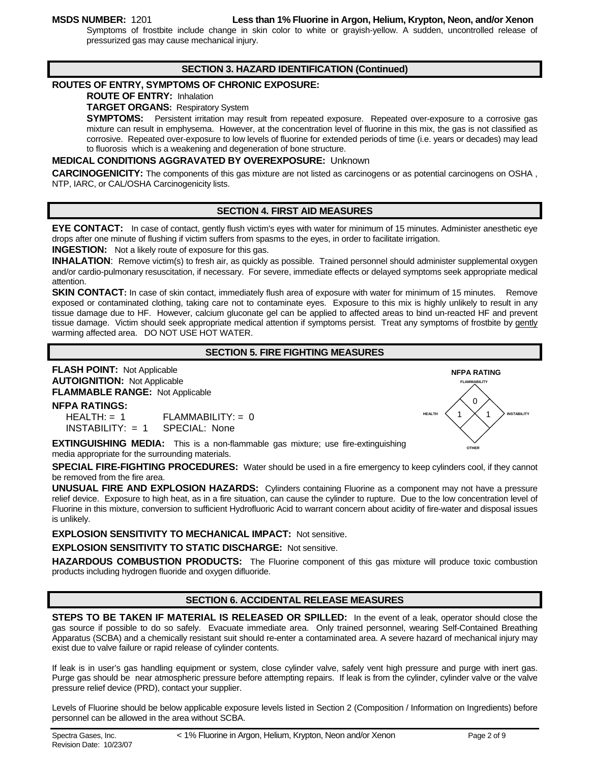**MSDS NUMBER:** 1201 **Less than 1% Fluorine in Argon, Helium, Krypton, Neon, and/or Xenon** 

Symptoms of frostbite include change in skin color to white or grayish-yellow. A sudden, uncontrolled release of pressurized gas may cause mechanical injury.

# **SECTION 3. HAZARD IDENTIFICATION (Continued)**

## **ROUTES OF ENTRY, SYMPTOMS OF CHRONIC EXPOSURE:**

 **ROUTE OF ENTRY:** Inhalation

 **TARGET ORGANS:** Respiratory System

**SYMPTOMS:** Persistent irritation may result from repeated exposure. Repeated over-exposure to a corrosive gas mixture can result in emphysema. However, at the concentration level of fluorine in this mix, the gas is not classified as corrosive. Repeated over-exposure to low levels of fluorine for extended periods of time (i.e. years or decades) may lead to fluorosis which is a weakening and degeneration of bone structure.

#### **MEDICAL CONDITIONS AGGRAVATED BY OVEREXPOSURE:** Unknown

**CARCINOGENICITY:** The components of this gas mixture are not listed as carcinogens or as potential carcinogens on OSHA , NTP, IARC, or CAL/OSHA Carcinogenicity lists.

# **SECTION 4. FIRST AID MEASURES**

**EYE CONTACT:** In case of contact, gently flush victim's eyes with water for minimum of 15 minutes. Administer anesthetic eye drops after one minute of flushing if victim suffers from spasms to the eyes, in order to facilitate irrigation.

**INGESTION:** Not a likely route of exposure for this gas.

**INHALATION:** Remove victim(s) to fresh air, as quickly as possible. Trained personnel should administer supplemental oxygen and/or cardio-pulmonary resuscitation, if necessary. For severe, immediate effects or delayed symptoms seek appropriate medical attention.

**SKIN CONTACT:** In case of skin contact, immediately flush area of exposure with water for minimum of 15 minutes. Remove exposed or contaminated clothing, taking care not to contaminate eyes. Exposure to this mix is highly unlikely to result in any tissue damage due to HF. However, calcium gluconate gel can be applied to affected areas to bind un-reacted HF and prevent tissue damage. Victim should seek appropriate medical attention if symptoms persist. Treat any symptoms of frostbite by gently warming affected area. DO NOT USE HOT WATER.

# **SECTION 5. FIRE FIGHTING MEASURES**

# **FLASH POINT:** Not Applicable **AUTOIGNITION:** Not Applicable **FLAMMABLE RANGE:** Not Applicable

**NFPA RATINGS:** 

 $HEALTH: = 1$  FLAMMABILITY: = 0 INSTABILITY: = 1 SPECIAL: None



**EXTINGUISHING MEDIA:** This is a non-flammable gas mixture; use fire-extinguishing media appropriate for the surrounding materials.

**SPECIAL FIRE-FIGHTING PROCEDURES:** Water should be used in a fire emergency to keep cylinders cool, if they cannot be removed from the fire area.

**UNUSUAL FIRE AND EXPLOSION HAZARDS:** Cylinders containing Fluorine as a component may not have a pressure relief device. Exposure to high heat, as in a fire situation, can cause the cylinder to rupture. Due to the low concentration level of Fluorine in this mixture, conversion to sufficient Hydrofluoric Acid to warrant concern about acidity of fire-water and disposal issues is unlikely.

**EXPLOSION SENSITIVITY TO MECHANICAL IMPACT:** Not sensitive.

**EXPLOSION SENSITIVITY TO STATIC DISCHARGE:** Not sensitive.

**HAZARDOUS COMBUSTION PRODUCTS:** The Fluorine component of this gas mixture will produce toxic combustion products including hydrogen fluoride and oxygen difluoride.

# **SECTION 6. ACCIDENTAL RELEASE MEASURES**

**STEPS TO BE TAKEN IF MATERIAL IS RELEASED OR SPILLED:** In the event of a leak, operator should close the gas source if possible to do so safely. Evacuate immediate area. Only trained personnel, wearing Self-Contained Breathing Apparatus (SCBA) and a chemically resistant suit should re-enter a contaminated area. A severe hazard of mechanical injury may exist due to valve failure or rapid release of cylinder contents.

If leak is in user's gas handling equipment or system, close cylinder valve, safely vent high pressure and purge with inert gas. Purge gas should be near atmospheric pressure before attempting repairs. If leak is from the cylinder, cylinder valve or the valve pressure relief device (PRD), contact your supplier.

Levels of Fluorine should be below applicable exposure levels listed in Section 2 (Composition / Information on Ingredients) before personnel can be allowed in the area without SCBA.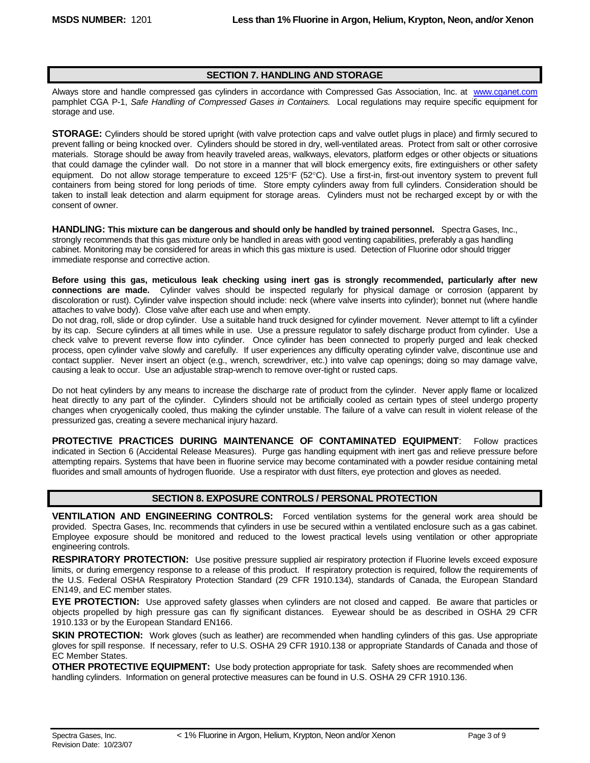# **SECTION 7. HANDLING AND STORAGE**

Always store and handle compressed gas cylinders in accordance with Compressed Gas Association, Inc. at www.cganet.com pamphlet CGA P-1, *Safe Handling of Compressed Gases in Containers.* Local regulations may require specific equipment for storage and use.

**STORAGE:** Cylinders should be stored upright (with valve protection caps and valve outlet plugs in place) and firmly secured to prevent falling or being knocked over. Cylinders should be stored in dry, well-ventilated areas. Protect from salt or other corrosive materials. Storage should be away from heavily traveled areas, walkways, elevators, platform edges or other objects or situations that could damage the cylinder wall. Do not store in a manner that will block emergency exits, fire extinguishers or other safety equipment. Do not allow storage temperature to exceed 125°F (52°C). Use a first-in, first-out inventory system to prevent full containers from being stored for long periods of time. Store empty cylinders away from full cylinders. Consideration should be taken to install leak detection and alarm equipment for storage areas. Cylinders must not be recharged except by or with the consent of owner.

**HANDLING: This mixture can be dangerous and should only be handled by trained personnel.** Spectra Gases, Inc., strongly recommends that this gas mixture only be handled in areas with good venting capabilities, preferably a gas handling cabinet. Monitoring may be considered for areas in which this gas mixture is used. Detection of Fluorine odor should trigger immediate response and corrective action.

**Before using this gas, meticulous leak checking using inert gas is strongly recommended, particularly after new connections are made.** Cylinder valves should be inspected regularly for physical damage or corrosion (apparent by discoloration or rust). Cylinder valve inspection should include: neck (where valve inserts into cylinder); bonnet nut (where handle attaches to valve body). Close valve after each use and when empty.

Do not drag, roll, slide or drop cylinder. Use a suitable hand truck designed for cylinder movement. Never attempt to lift a cylinder by its cap. Secure cylinders at all times while in use. Use a pressure regulator to safely discharge product from cylinder. Use a check valve to prevent reverse flow into cylinder. Once cylinder has been connected to properly purged and leak checked process, open cylinder valve slowly and carefully. If user experiences any difficulty operating cylinder valve, discontinue use and contact supplier. Never insert an object (e.g., wrench, screwdriver, etc.) into valve cap openings; doing so may damage valve, causing a leak to occur. Use an adjustable strap-wrench to remove over-tight or rusted caps.

Do not heat cylinders by any means to increase the discharge rate of product from the cylinder. Never apply flame or localized heat directly to any part of the cylinder. Cylinders should not be artificially cooled as certain types of steel undergo property changes when cryogenically cooled, thus making the cylinder unstable. The failure of a valve can result in violent release of the pressurized gas, creating a severe mechanical injury hazard.

**PROTECTIVE PRACTICES DURING MAINTENANCE OF CONTAMINATED EQUIPMENT**: Follow practices indicated in Section 6 (Accidental Release Measures). Purge gas handling equipment with inert gas and relieve pressure before attempting repairs. Systems that have been in fluorine service may become contaminated with a powder residue containing metal fluorides and small amounts of hydrogen fluoride. Use a respirator with dust filters, eye protection and gloves as needed.

#### **SECTION 8. EXPOSURE CONTROLS / PERSONAL PROTECTION**

**VENTILATION AND ENGINEERING CONTROLS:** Forced ventilation systems for the general work area should be provided. Spectra Gases, Inc. recommends that cylinders in use be secured within a ventilated enclosure such as a gas cabinet. Employee exposure should be monitored and reduced to the lowest practical levels using ventilation or other appropriate engineering controls.

**RESPIRATORY PROTECTION:** Use positive pressure supplied air respiratory protection if Fluorine levels exceed exposure limits, or during emergency response to a release of this product. If respiratory protection is required, follow the requirements of the U.S. Federal OSHA Respiratory Protection Standard (29 CFR 1910.134), standards of Canada, the European Standard EN149, and EC member states.

**EYE PROTECTION:** Use approved safety glasses when cylinders are not closed and capped. Be aware that particles or objects propelled by high pressure gas can fly significant distances. Eyewear should be as described in OSHA 29 CFR 1910.133 or by the European Standard EN166.

**SKIN PROTECTION:** Work gloves (such as leather) are recommended when handling cylinders of this gas. Use appropriate gloves for spill response. If necessary, refer to U.S. OSHA 29 CFR 1910.138 or appropriate Standards of Canada and those of EC Member States.

**OTHER PROTECTIVE EQUIPMENT:** Use body protection appropriate for task. Safety shoes are recommended when handling cylinders. Information on general protective measures can be found in U.S. OSHA 29 CFR 1910.136.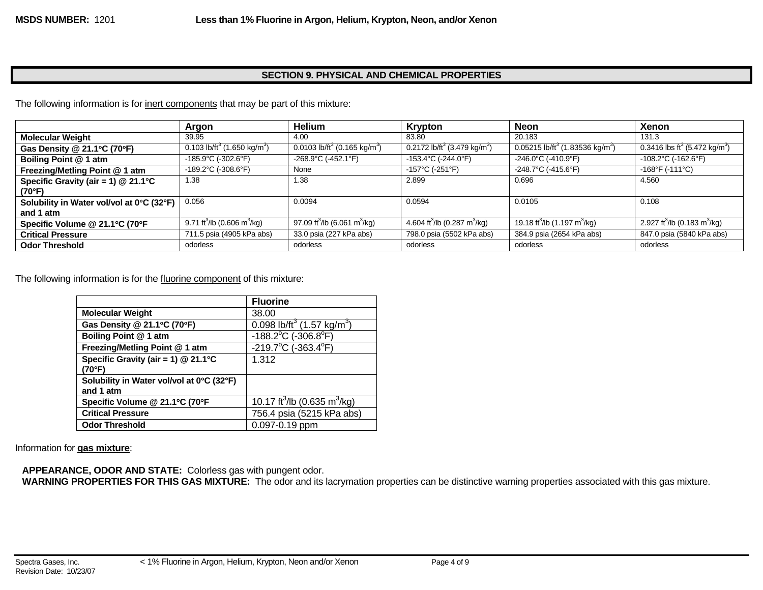# **SECTION 9. PHYSICAL AND CHEMICAL PROPERTIES**

The following information is for inert components that may be part of this mixture:

|                                           | Argon                                               | <b>Helium</b>                                        | <b>Krypton</b>                                       | <b>Neon</b>                                             | <b>Xenon</b>                                          |
|-------------------------------------------|-----------------------------------------------------|------------------------------------------------------|------------------------------------------------------|---------------------------------------------------------|-------------------------------------------------------|
| <b>Molecular Weight</b>                   | 39.95                                               | 4.00                                                 | 83.80                                                | 20.183                                                  | 131.3                                                 |
| Gas Density @ 21.1°C (70°F)               | 0.103 lb/ft <sup>3</sup> (1.650 kg/m <sup>3</sup> ) | 0.0103 lb/ft <sup>3</sup> (0.165 kg/m <sup>3</sup> ) | 0.2172 lb/ft <sup>3</sup> (3.479 kg/m <sup>3</sup> ) | 0.05215 lb/ft <sup>3</sup> (1.83536 kg/m <sup>3</sup> ) | 0.3416 lbs ft <sup>3</sup> (5.472 kg/m <sup>3</sup> ) |
| Boiling Point @ 1 atm                     | $-185.9^{\circ}$ C ( $-302.6^{\circ}$ F)            | $-268.9^{\circ}$ C (-452.1 $^{\circ}$ F)             | $-153.4$ °C (-244.0°F)                               | $-246.0^{\circ}$ C (-410.9 $^{\circ}$ F)                | $-108.2$ °C (-162.6°F)                                |
| Freezing/Metling Point @ 1 atm            | $-189.2^{\circ}$ C ( $-308.6^{\circ}$ F)            | None                                                 | $-157^{\circ}$ C (-251 $^{\circ}$ F)                 | -248.7°C (-415.6°F)                                     | $-168^{\circ}F( -111^{\circ}C)$                       |
| Specific Gravity (air = 1) $@$ 21.1°C     | 1.38                                                | 1.38                                                 | 2.899                                                | 0.696                                                   | 4.560                                                 |
| (70°F)                                    |                                                     |                                                      |                                                      |                                                         |                                                       |
| Solubility in Water vol/vol at 0°C (32°F) | 0.056                                               | 0.0094                                               | 0.0594                                               | 0.0105                                                  | 0.108                                                 |
| and 1 atm                                 |                                                     |                                                      |                                                      |                                                         |                                                       |
| Specific Volume @ 21.1°C (70°F            | 9.71 ft <sup>3</sup> /lb (0.606 m <sup>3</sup> /kg) | 97.09 ft <sup>3</sup> /lb (6.061 m <sup>3</sup> /kg) | 4.604 ft <sup>3</sup> /lb (0.287 m <sup>3</sup> /kg) | 19.18 ft <sup>3</sup> /lb (1.197 m <sup>3</sup> /kg)    | 2.927 ft <sup>3</sup> /lb (0.183 m <sup>3</sup> /kg)  |
| <b>Critical Pressure</b>                  | 711.5 psia (4905 kPa abs)                           | 33.0 psia (227 kPa abs)                              | 798.0 psia (5502 kPa abs)                            | 384.9 psia (2654 kPa abs)                               | 847.0 psia (5840 kPa abs)                             |
| <b>Odor Threshold</b>                     | odorless                                            | odorless                                             | odorless                                             | odorless                                                | odorless                                              |

The following information is for the fluorine component of this mixture:

|                                           | <b>Fluorine</b>                                                  |
|-------------------------------------------|------------------------------------------------------------------|
| <b>Molecular Weight</b>                   | 38.00                                                            |
| Gas Density @ 21.1°C (70°F)               | 0.098 lb/ft <sup>3</sup> (1.57 kg/m <sup>3</sup> )               |
| Boiling Point @ 1 atm                     | $-188.2^{\circ}$ C $(-306.8^{\circ}F)$                           |
| Freezing/Metling Point @ 1 atm            | $-219.7^{\circ}$ C ( $-363.4^{\circ}$ F)                         |
| Specific Gravity (air = 1) @ 21.1°C       | 1.312                                                            |
| (70°F)                                    |                                                                  |
| Solubility in Water vol/vol at 0°C (32°F) |                                                                  |
| and 1 atm                                 |                                                                  |
| Specific Volume @ 21.1°C (70°F            | 10.17 $\frac{\text{ft}^3}{\text{lb}}$ (0.635 m <sup>3</sup> /kg) |
| <b>Critical Pressure</b>                  | 756.4 psia (5215 kPa abs)                                        |
| <b>Odor Threshold</b>                     | 0.097-0.19 ppm                                                   |

Information for **gas mixture**:

**APPEARANCE, ODOR AND STATE:** Colorless gas with pungent odor.

**WARNING PROPERTIES FOR THIS GAS MIXTURE:** The odor and its lacrymation properties can be distinctive warning properties associated with this gas mixture.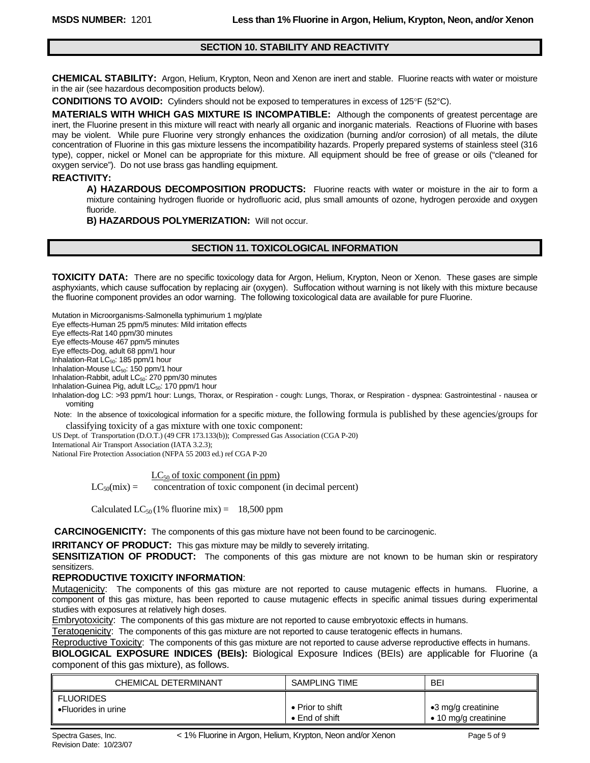# **SECTION 10. STABILITY AND REACTIVITY**

**CHEMICAL STABILITY:** Argon, Helium, Krypton, Neon and Xenon are inert and stable. Fluorine reacts with water or moisture in the air (see hazardous decomposition products below).

**CONDITIONS TO AVOID:** Cylinders should not be exposed to temperatures in excess of 125°F (52°C).

**MATERIALS WITH WHICH GAS MIXTURE IS INCOMPATIBLE:** Although the components of greatest percentage are inert, the Fluorine present in this mixture will react with nearly all organic and inorganic materials. Reactions of Fluorine with bases may be violent. While pure Fluorine very strongly enhances the oxidization (burning and/or corrosion) of all metals, the dilute concentration of Fluorine in this gas mixture lessens the incompatibility hazards. Properly prepared systems of stainless steel (316 type), copper, nickel or Monel can be appropriate for this mixture. All equipment should be free of grease or oils ("cleaned for oxygen service"). Do not use brass gas handling equipment.

#### **REACTIVITY:**

 **A) HAZARDOUS DECOMPOSITION PRODUCTS:** Fluorine reacts with water or moisture in the air to form a mixture containing hydrogen fluoride or hydrofluoric acid, plus small amounts of ozone, hydrogen peroxide and oxygen fluoride.

 **B) HAZARDOUS POLYMERIZATION:** Will not occur.

# **SECTION 11. TOXICOLOGICAL INFORMATION**

**TOXICITY DATA:** There are no specific toxicology data for Argon, Helium, Krypton, Neon or Xenon. These gases are simple asphyxiants, which cause suffocation by replacing air (oxygen). Suffocation without warning is not likely with this mixture because the fluorine component provides an odor warning. The following toxicological data are available for pure Fluorine.

Mutation in Microorganisms-Salmonella typhimurium 1 mg/plate

Eye effects-Human 25 ppm/5 minutes: Mild irritation effects

Eye effects-Rat 140 ppm/30 minutes Eye effects-Mouse 467 ppm/5 minutes

Eye effects-Dog, adult 68 ppm/1 hour

Inhalation-Rat LC<sub>50</sub>: 185 ppm/1 hour

Inhalation-Mouse  $LC_{50}$ : 150 ppm/1 hour

Inhalation-Rabbit, adult  $LC_{50}$ : 270 ppm/30 minutes

Inhalation-Guinea Pig, adult  $LC_{50}$ : 170 ppm/1 hour

Inhalation-dog LC: >93 ppm/1 hour: Lungs, Thorax, or Respiration - cough: Lungs, Thorax, or Respiration - dyspnea: Gastrointestinal - nausea or vomiting

 Note: In the absence of toxicological information for a specific mixture, the following formula is published by these agencies/groups for classifying toxicity of a gas mixture with one toxic component:

US Dept. of Transportation (D.O.T.) (49 CFR 173.133(b)); Compressed Gas Association (CGA P-20)

International Air Transport Association (IATA 3.2.3);

National Fire Protection Association (NFPA 55 2003 ed.) ref CGA P-20

 $LC_{50}$  of toxic component (in ppm)

 $LC_{50}$ (mix) = concentration of toxic component (in decimal percent)

Calculated LC<sub>50</sub> (1% fluorine mix) = 18,500 ppm

**CARCINOGENICITY:** The components of this gas mixture have not been found to be carcinogenic.

**IRRITANCY OF PRODUCT:** This gas mixture may be mildly to severely irritating.

**SENSITIZATION OF PRODUCT:** The components of this gas mixture are not known to be human skin or respiratory sensitizers.

#### **REPRODUCTIVE TOXICITY INFORMATION**:

Mutagenicity: The components of this gas mixture are not reported to cause mutagenic effects in humans. Fluorine, a component of this gas mixture, has been reported to cause mutagenic effects in specific animal tissues during experimental studies with exposures at relatively high doses.

**Embryotoxicity**: The components of this gas mixture are not reported to cause embryotoxic effects in humans.

Teratogenicity: The components of this gas mixture are not reported to cause teratogenic effects in humans.

Reproductive Toxicity: The components of this gas mixture are not reported to cause adverse reproductive effects in humans.

**BIOLOGICAL EXPOSURE INDICES (BEIs):** Biological Exposure Indices (BEIs) are applicable for Fluorine (a component of this gas mixture), as follows.

| CHEMICAL DETERMINANT | SAMPLING TIME            | BEI                          |
|----------------------|--------------------------|------------------------------|
| <b>FLUORIDES</b>     | $\bullet$ Prior to shift | •3 mg/g creatinine           |
| ●Fluorides in urine  | $\bullet$ End of shift   | $\bullet$ 10 mg/g creatinine |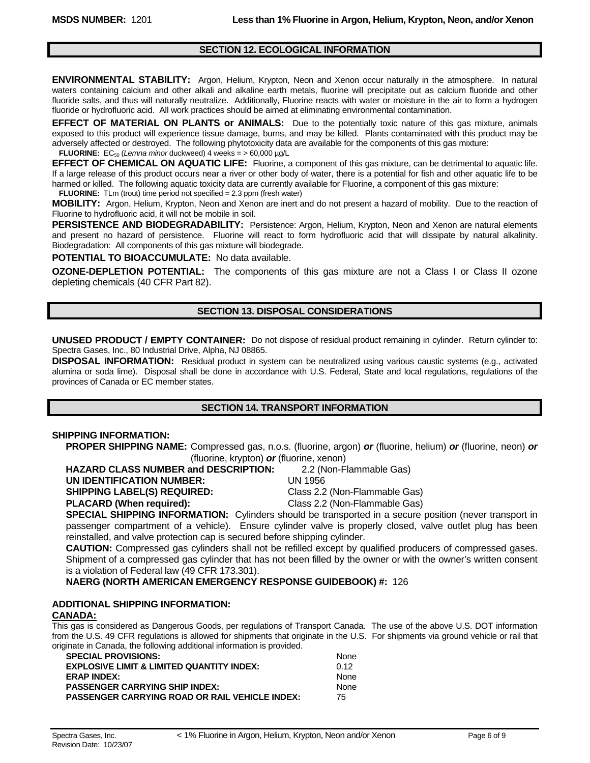#### **SECTION 12. ECOLOGICAL INFORMATION**

**ENVIRONMENTAL STABILITY:** Argon, Helium, Krypton, Neon and Xenon occur naturally in the atmosphere. In natural waters containing calcium and other alkali and alkaline earth metals, fluorine will precipitate out as calcium fluoride and other fluoride salts, and thus will naturally neutralize. Additionally, Fluorine reacts with water or moisture in the air to form a hydrogen fluoride or hydrofluoric acid. All work practices should be aimed at eliminating environmental contamination.

**EFFECT OF MATERIAL ON PLANTS or ANIMALS:** Due to the potentially toxic nature of this gas mixture, animals exposed to this product will experience tissue damage, burns, and may be killed. Plants contaminated with this product may be adversely affected or destroyed. The following phytotoxicity data are available for the components of this gas mixture: **FLUORINE:** EC<sub>50</sub> (*Lemna minor* duckweed) 4 weeks = > 60,000 µg/L

**EFFECT OF CHEMICAL ON AQUATIC LIFE:** Fluorine, a component of this gas mixture, can be detrimental to aquatic life. If a large release of this product occurs near a river or other body of water, there is a potential for fish and other aquatic life to be harmed or killed. The following aquatic toxicity data are currently available for Fluorine, a component of this gas mixture: **FLUORINE:** TLm (trout) time period not specified = 2.3 ppm (fresh water)

**MOBILITY:** Argon, Helium, Krypton, Neon and Xenon are inert and do not present a hazard of mobility. Due to the reaction of Fluorine to hydrofluoric acid, it will not be mobile in soil.

PERSISTENCE AND BIODEGRADABILITY: Persistence: Argon, Helium, Krypton, Neon and Xenon are natural elements and present no hazard of persistence. Fluorine will react to form hydrofluoric acid that will dissipate by natural alkalinity. Biodegradation: All components of this gas mixture will biodegrade.

**POTENTIAL TO BIOACCUMULATE:** No data available.

**OZONE-DEPLETION POTENTIAL:** The components of this gas mixture are not a Class I or Class II ozone depleting chemicals (40 CFR Part 82).

#### **SECTION 13. DISPOSAL CONSIDERATIONS**

**UNUSED PRODUCT / EMPTY CONTAINER:** Do not dispose of residual product remaining in cylinder. Return cylinder to: Spectra Gases, Inc., 80 Industrial Drive, Alpha, NJ 08865.

**DISPOSAL INFORMATION:** Residual product in system can be neutralized using various caustic systems (e.g., activated alumina or soda lime). Disposal shall be done in accordance with U.S. Federal, State and local regulations, regulations of the provinces of Canada or EC member states.

## **SECTION 14. TRANSPORT INFORMATION**

#### **SHIPPING INFORMATION:**

**PROPER SHIPPING NAME:** Compressed gas, n.o.s. (fluorine, argon) *or* (fluorine, helium) *or* (fluorine, neon) *or* (fluorine, krypton) *or* (fluorine, xenon)

| <b>HAZARD CLASS NUMBER and DESC</b> |
|-------------------------------------|
| UN IDENTIFICATION NUMBER:           |
| CUIDDING LADEL (C) DEALIIDED.       |

**RIPTION:** 2.2 (Non-Flammable Gas) **UN 1956** 

**SHIPPING LABEL(S) REQUIRED:** Class 2.2 (Non-Flammable Gas)

 **PLACARD (When required):** Class 2.2 (Non-Flammable Gas)

**SPECIAL SHIPPING INFORMATION:** Cylinders should be transported in a secure position (never transport in passenger compartment of a vehicle). Ensure cylinder valve is properly closed, valve outlet plug has been reinstalled, and valve protection cap is secured before shipping cylinder.

 **CAUTION:** Compressed gas cylinders shall not be refilled except by qualified producers of compressed gases. Shipment of a compressed gas cylinder that has not been filled by the owner or with the owner's written consent is a violation of Federal law (49 CFR 173.301).

 **NAERG (NORTH AMERICAN EMERGENCY RESPONSE GUIDEBOOK) #:** 126

#### **ADDITIONAL SHIPPING INFORMATION: CANADA:**

This gas is considered as Dangerous Goods, per regulations of Transport Canada. The use of the above U.S. DOT information from the U.S. 49 CFR regulations is allowed for shipments that originate in the U.S. For shipments via ground vehicle or rail that originate in Canada, the following additional information is provided.

| <b>SPECIAL PROVISIONS:</b>                            | None.       |
|-------------------------------------------------------|-------------|
| <b>EXPLOSIVE LIMIT &amp; LIMITED QUANTITY INDEX:</b>  | በ 12        |
| <b>ERAP INDEX:</b>                                    | None        |
| <b>PASSENGER CARRYING SHIP INDEX:</b>                 | <b>None</b> |
| <b>PASSENGER CARRYING ROAD OR RAIL VEHICLE INDEX:</b> | 75          |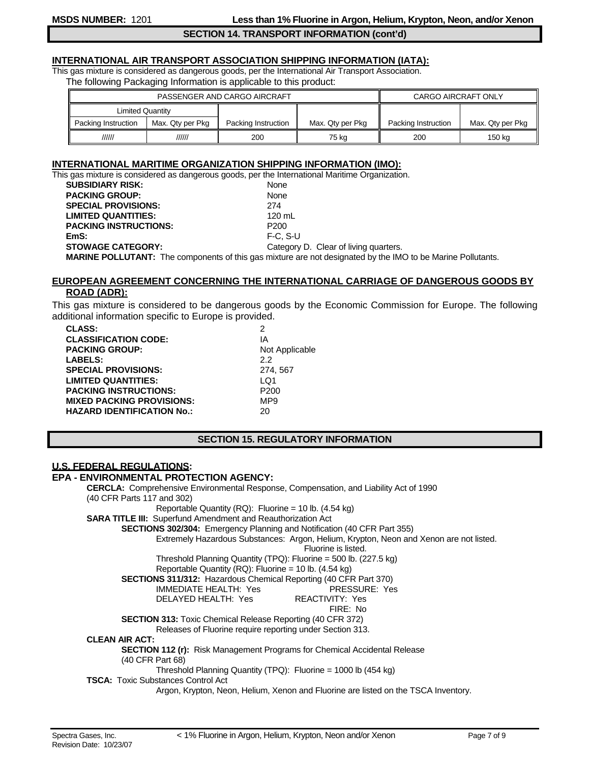**SECTION 14. TRANSPORT INFORMATION (cont'd)**

# **INTERNATIONAL AIR TRANSPORT ASSOCIATION SHIPPING INFORMATION (IATA):**

This gas mixture is considered as dangerous goods, per the International Air Transport Association. The following Packaging Information is applicable to this product:

|                         | PASSENGER AND CARGO AIRCRAFT | CARGO AIRCRAFT ONLY |                  |                     |                  |
|-------------------------|------------------------------|---------------------|------------------|---------------------|------------------|
| <b>Limited Quantity</b> |                              |                     |                  |                     |                  |
| Packing Instruction     | Max. Qty per Pkg             | Packing Instruction | Max. Qty per Pkg | Packing Instruction | Max. Qty per Pkg |
| //////                  | //////                       | 200                 | 75 ka            | 200                 | 150 ka           |

# **INTERNATIONAL MARITIME ORGANIZATION SHIPPING INFORMATION (IMO):**

This gas mixture is considered as dangerous goods, per the International Maritime Organization.

| <b>SUBSIDIARY RISK:</b>                                                                         | None                                  |
|-------------------------------------------------------------------------------------------------|---------------------------------------|
| <b>PACKING GROUP:</b>                                                                           | None                                  |
| <b>SPECIAL PROVISIONS:</b>                                                                      | 274                                   |
| <b>LIMITED QUANTITIES:</b>                                                                      | $120 \text{ mL}$                      |
| <b>PACKING INSTRUCTIONS:</b>                                                                    | P <sub>200</sub>                      |
| EmS:                                                                                            | $F-C. S-U$                            |
| <b>STOWAGE CATEGORY:</b>                                                                        | Category D. Clear of living quarters. |
| <b>MARINE POLLUTANT:</b> The components of this gas mixture are not designated by the IMO to be |                                       |

# **EUROPEAN AGREEMENT CONCERNING THE INTERNATIONAL CARRIAGE OF DANGEROUS GOODS BY ROAD (ADR):**

This gas mixture is considered to be dangerous goods by the Economic Commission for Europe. The following additional information specific to Europe is provided.

| <b>CLASS:</b>                     | 2                |
|-----------------------------------|------------------|
| <b>CLASSIFICATION CODE:</b>       | IΑ               |
| <b>PACKING GROUP:</b>             | Not Applicable   |
| <b>LABELS:</b>                    | 22               |
| <b>SPECIAL PROVISIONS:</b>        | 274, 567         |
| <b>LIMITED QUANTITIES:</b>        | LO <sub>1</sub>  |
| <b>PACKING INSTRUCTIONS:</b>      | P <sub>200</sub> |
| <b>MIXED PACKING PROVISIONS:</b>  | MP <sub>9</sub>  |
| <b>HAZARD IDENTIFICATION No.:</b> | 20               |
|                                   |                  |

# **SECTION 15. REGULATORY INFORMATION**

# **U.S. FEDERAL REGULATIONS:**

| <b>EPA - ENVIRONMENTAL PROTECTION AGENCY:</b>                                                |
|----------------------------------------------------------------------------------------------|
| <b>CERCLA:</b> Comprehensive Environmental Response, Compensation, and Liability Act of 1990 |
| (40 CFR Parts 117 and 302)                                                                   |
| Reportable Quantity (RQ): Fluorine = 10 lb. $(4.54 \text{ kg})$                              |
| <b>SARA TITLE III:</b> Superfund Amendment and Reauthorization Act                           |
| <b>SECTIONS 302/304:</b> Emergency Planning and Notification (40 CFR Part 355)               |
| Extremely Hazardous Substances: Argon, Helium, Krypton, Neon and Xenon are not listed.       |
| Fluorine is listed.                                                                          |
| Threshold Planning Quantity (TPQ): Fluorine = 500 lb. (227.5 kg)                             |
| Reportable Quantity (RQ): Fluorine = 10 lb. $(4.54 \text{ kg})$                              |
| <b>SECTIONS 311/312:</b> Hazardous Chemical Reporting (40 CFR Part 370)                      |
| <b>IMMEDIATE HEALTH: Yes</b><br>PRESSURE: Yes                                                |
| DELAYED HEALTH: Yes<br><b>REACTIVITY: Yes</b>                                                |
| FIRE: No                                                                                     |
| <b>SECTION 313:</b> Toxic Chemical Release Reporting (40 CFR 372)                            |
| Releases of Fluorine require reporting under Section 313.                                    |
| <b>CLEAN AIR ACT:</b>                                                                        |
| <b>SECTION 112 (r):</b> Risk Management Programs for Chemical Accidental Release             |
| (40 CFR Part 68)                                                                             |
| Threshold Planning Quantity (TPQ): Fluorine = 1000 lb (454 kg)                               |
| <b>TSCA:</b> Toxic Substances Control Act                                                    |
| Argon, Krypton, Neon, Helium, Xenon and Fluorine are listed on the TSCA Inventory.           |
|                                                                                              |

**Marine Pollutants.**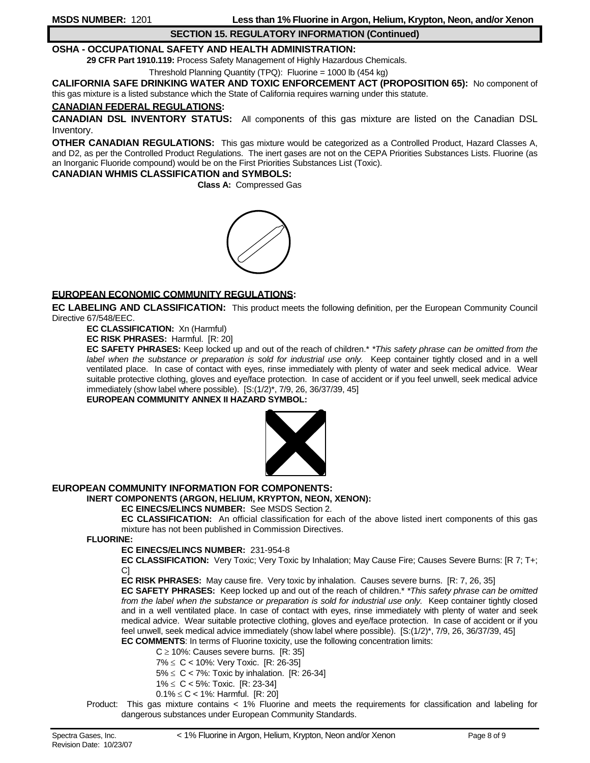# **SECTION 15. REGULATORY INFORMATION (Continued)**

#### **OSHA - OCCUPATIONAL SAFETY AND HEALTH ADMINISTRATION:**

**29 CFR Part 1910.119:** Process Safety Management of Highly Hazardous Chemicals.

Threshold Planning Quantity (TPQ): Fluorine = 1000 lb (454 kg)

**CALIFORNIA SAFE DRINKING WATER AND TOXIC ENFORCEMENT ACT (PROPOSITION 65):** No component of this gas mixture is a listed substance which the State of California requires warning under this statute.

#### **CANADIAN FEDERAL REGULATIONS:**

**CANADIAN DSL INVENTORY STATUS:** All components of this gas mixture are listed on the Canadian DSL Inventory.

**OTHER CANADIAN REGULATIONS:** This gas mixture would be categorized as a Controlled Product, Hazard Classes A, and D2, as per the Controlled Product Regulations. The inert gases are not on the CEPA Priorities Substances Lists. Fluorine (as an Inorganic Fluoride compound) would be on the First Priorities Substances List (Toxic).

# **CANADIAN WHMIS CLASSIFICATION and SYMBOLS:**

**Class A:** Compressed Gas



# **EUROPEAN ECONOMIC COMMUNITY REGULATIONS:**

**EC LABELING AND CLASSIFICATION:** This product meets the following definition, per the European Community Council Directive 67/548/EEC.

**EC CLASSIFICATION:** Xn (Harmful)

 **EC RISK PHRASES:** Harmful. [R: 20]

 **EC SAFETY PHRASES:** Keep locked up and out of the reach of children.\* *\*This safety phrase can be omitted from the*  label when the substance or preparation is sold for industrial use only. Keep container tightly closed and in a well ventilated place. In case of contact with eyes, rinse immediately with plenty of water and seek medical advice. Wear suitable protective clothing, gloves and eye/face protection. In case of accident or if you feel unwell, seek medical advice immediately (show label where possible). [S:(1/2)\*, 7/9, 26, 36/37/39, 45] **EUROPEAN COMMUNITY ANNEX II HAZARD SYMBOL:**



#### **EUROPEAN COMMUNITY INFORMATION FOR COMPONENTS:**

#### **INERT COMPONENTS (ARGON, HELIUM, KRYPTON, NEON, XENON):**

 **EC EINECS/ELINCS NUMBER:** See MSDS Section 2.

 **EC CLASSIFICATION:** An official classification for each of the above listed inert components of this gas mixture has not been published in Commission Directives.

#### **FLUORINE:**

 **EC EINECS/ELINCS NUMBER:** 231-954-8

 **EC CLASSIFICATION:** Very Toxic; Very Toxic by Inhalation; May Cause Fire; Causes Severe Burns: [R 7; T+; C]

 **EC RISK PHRASES:** May cause fire. Very toxic by inhalation. Causes severe burns. [R: 7, 26, 35]

 **EC SAFETY PHRASES:** Keep locked up and out of the reach of children.\* *\*This safety phrase can be omitted*  from the label when the substance or preparation is sold for industrial use only. Keep container tightly closed and in a well ventilated place. In case of contact with eyes, rinse immediately with plenty of water and seek medical advice. Wear suitable protective clothing, gloves and eye/face protection. In case of accident or if you feel unwell, seek medical advice immediately (show label where possible). [S:(1/2)\*, 7/9, 26, 36/37/39, 45]

 **EC COMMENTS**: In terms of Fluorine toxicity, use the following concentration limits:

 $C \ge 10\%$ : Causes severe burns. [R: 35]

7% ≤ C < 10%: Very Toxic. [R: 26-35]

 $5\% \leq C < 7\%$ : Toxic by inhalation. [R: 26-34]

- 1% ≤ C < 5%: Toxic. [R: 23-34]
- $0.1\%$  ≤ C < 1%: Harmful. [R: 20]
- Product: This gas mixture contains < 1% Fluorine and meets the requirements for classification and labeling for dangerous substances under European Community Standards.